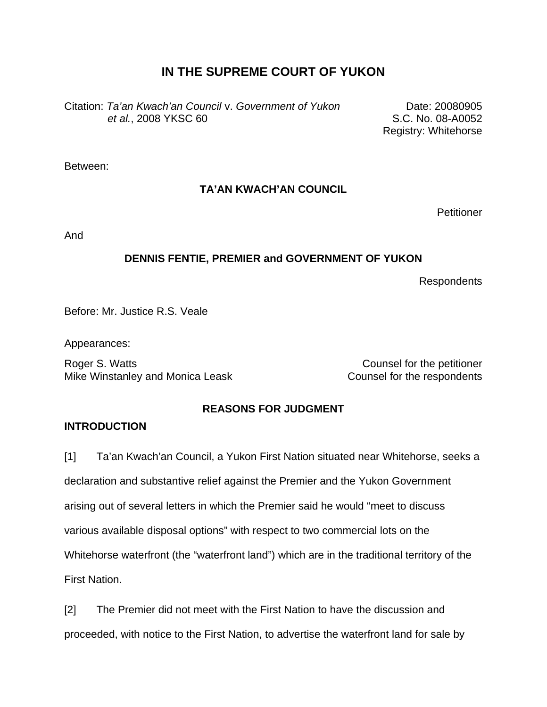# **IN THE SUPREME COURT OF YUKON**

Citation: *Ta'an Kwach'an Council* v. *Government of Yukon et al.*, 2008 YKSC 60

Date: 20080905 S.C. No. 08-A0052 Registry: Whitehorse

Between:

# **TA'AN KWACH'AN COUNCIL**

**Petitioner** 

And

## **DENNIS FENTIE, PREMIER and GOVERNMENT OF YUKON**

Respondents

Before: Mr. Justice R.S. Veale

Appearances:

Roger S. Watts **Counsel for the petitioner** Mike Winstanley and Monica Leask Counsel for the respondents

# **REASONS FOR JUDGMENT**

### **INTRODUCTION**

[1] Ta'an Kwach'an Council, a Yukon First Nation situated near Whitehorse, seeks a declaration and substantive relief against the Premier and the Yukon Government arising out of several letters in which the Premier said he would "meet to discuss various available disposal options" with respect to two commercial lots on the Whitehorse waterfront (the "waterfront land") which are in the traditional territory of the First Nation.

[2] The Premier did not meet with the First Nation to have the discussion and proceeded, with notice to the First Nation, to advertise the waterfront land for sale by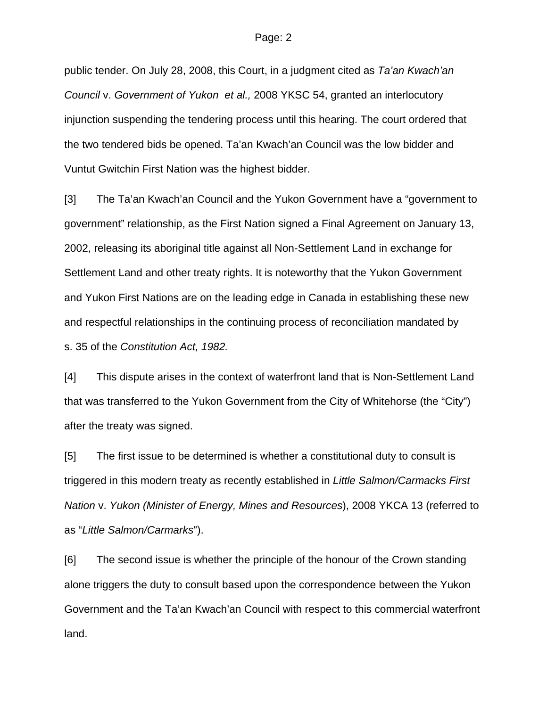public tender. On July 28, 2008, this Court, in a judgment cited as *Ta'an Kwach'an Council* v. *Government of Yukon et al.,* 2008 YKSC 54, granted an interlocutory injunction suspending the tendering process until this hearing. The court ordered that the two tendered bids be opened. Ta'an Kwach'an Council was the low bidder and Vuntut Gwitchin First Nation was the highest bidder.

[3] The Ta'an Kwach'an Council and the Yukon Government have a "government to government" relationship, as the First Nation signed a Final Agreement on January 13, 2002, releasing its aboriginal title against all Non-Settlement Land in exchange for Settlement Land and other treaty rights. It is noteworthy that the Yukon Government and Yukon First Nations are on the leading edge in Canada in establishing these new and respectful relationships in the continuing process of reconciliation mandated by s. 35 of the *Constitution Act, 1982.*

[4] This dispute arises in the context of waterfront land that is Non-Settlement Land that was transferred to the Yukon Government from the City of Whitehorse (the "City") after the treaty was signed.

[5] The first issue to be determined is whether a constitutional duty to consult is triggered in this modern treaty as recently established in *Little Salmon/Carmacks First Nation* v. *Yukon (Minister of Energy, Mines and Resources*), 2008 YKCA 13 (referred to as "*Little Salmon/Carmarks*").

[6] The second issue is whether the principle of the honour of the Crown standing alone triggers the duty to consult based upon the correspondence between the Yukon Government and the Ta'an Kwach'an Council with respect to this commercial waterfront land.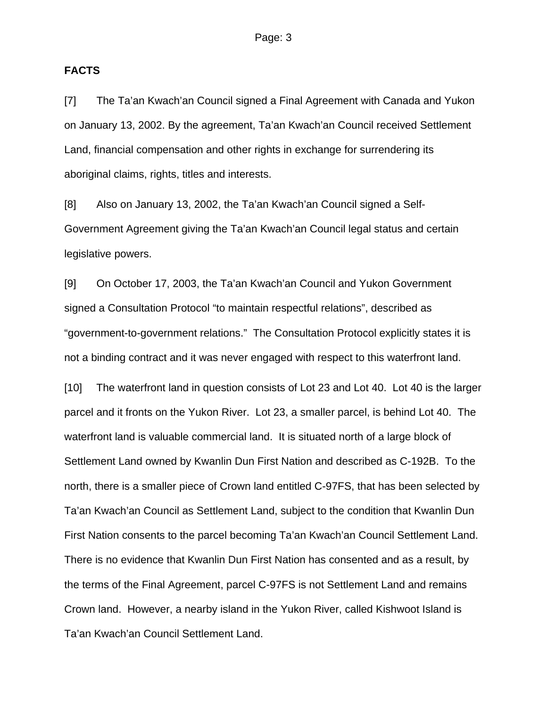#### **FACTS**

[7] The Ta'an Kwach'an Council signed a Final Agreement with Canada and Yukon on January 13, 2002. By the agreement, Ta'an Kwach'an Council received Settlement Land, financial compensation and other rights in exchange for surrendering its aboriginal claims, rights, titles and interests.

[8] Also on January 13, 2002, the Ta'an Kwach'an Council signed a Self-Government Agreement giving the Ta'an Kwach'an Council legal status and certain legislative powers.

[9] On October 17, 2003, the Ta'an Kwach'an Council and Yukon Government signed a Consultation Protocol "to maintain respectful relations", described as "government-to-government relations." The Consultation Protocol explicitly states it is not a binding contract and it was never engaged with respect to this waterfront land.

[10] The waterfront land in question consists of Lot 23 and Lot 40. Lot 40 is the larger parcel and it fronts on the Yukon River. Lot 23, a smaller parcel, is behind Lot 40. The waterfront land is valuable commercial land. It is situated north of a large block of Settlement Land owned by Kwanlin Dun First Nation and described as C-192B. To the north, there is a smaller piece of Crown land entitled C-97FS, that has been selected by Ta'an Kwach'an Council as Settlement Land, subject to the condition that Kwanlin Dun First Nation consents to the parcel becoming Ta'an Kwach'an Council Settlement Land. There is no evidence that Kwanlin Dun First Nation has consented and as a result, by the terms of the Final Agreement, parcel C-97FS is not Settlement Land and remains Crown land. However, a nearby island in the Yukon River, called Kishwoot Island is Ta'an Kwach'an Council Settlement Land.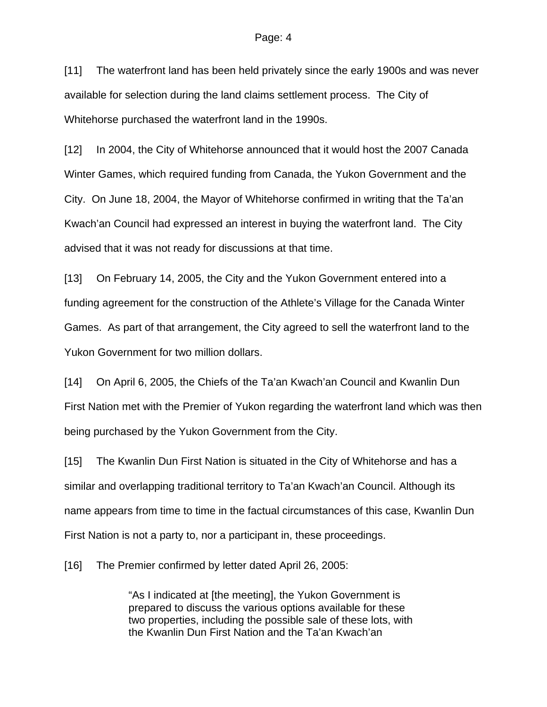[11] The waterfront land has been held privately since the early 1900s and was never available for selection during the land claims settlement process. The City of Whitehorse purchased the waterfront land in the 1990s.

[12] In 2004, the City of Whitehorse announced that it would host the 2007 Canada Winter Games, which required funding from Canada, the Yukon Government and the City. On June 18, 2004, the Mayor of Whitehorse confirmed in writing that the Ta'an Kwach'an Council had expressed an interest in buying the waterfront land. The City advised that it was not ready for discussions at that time.

[13] On February 14, 2005, the City and the Yukon Government entered into a funding agreement for the construction of the Athlete's Village for the Canada Winter Games. As part of that arrangement, the City agreed to sell the waterfront land to the Yukon Government for two million dollars.

[14] On April 6, 2005, the Chiefs of the Ta'an Kwach'an Council and Kwanlin Dun First Nation met with the Premier of Yukon regarding the waterfront land which was then being purchased by the Yukon Government from the City.

[15] The Kwanlin Dun First Nation is situated in the City of Whitehorse and has a similar and overlapping traditional territory to Ta'an Kwach'an Council. Although its name appears from time to time in the factual circumstances of this case, Kwanlin Dun First Nation is not a party to, nor a participant in, these proceedings.

[16] The Premier confirmed by letter dated April 26, 2005:

"As I indicated at [the meeting], the Yukon Government is prepared to discuss the various options available for these two properties, including the possible sale of these lots, with the Kwanlin Dun First Nation and the Ta'an Kwach'an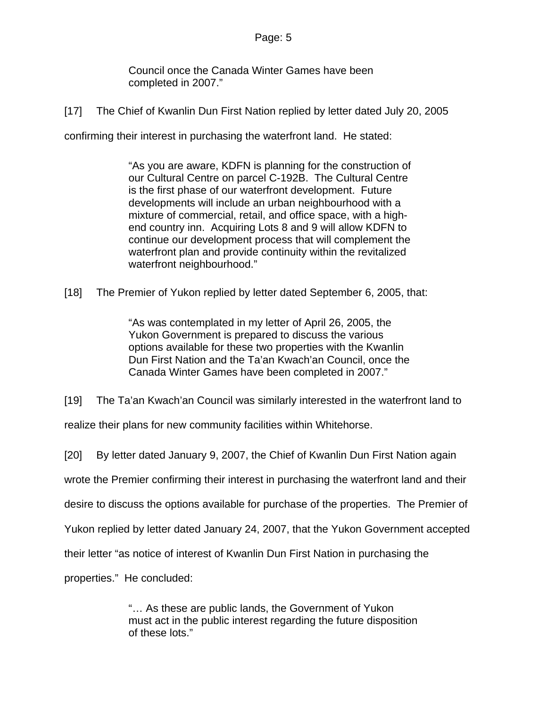Council once the Canada Winter Games have been completed in 2007."

[17] The Chief of Kwanlin Dun First Nation replied by letter dated July 20, 2005

confirming their interest in purchasing the waterfront land. He stated:

"As you are aware, KDFN is planning for the construction of our Cultural Centre on parcel C-192B. The Cultural Centre is the first phase of our waterfront development. Future developments will include an urban neighbourhood with a mixture of commercial, retail, and office space, with a highend country inn. Acquiring Lots 8 and 9 will allow KDFN to continue our development process that will complement the waterfront plan and provide continuity within the revitalized waterfront neighbourhood."

[18] The Premier of Yukon replied by letter dated September 6, 2005, that:

"As was contemplated in my letter of April 26, 2005, the Yukon Government is prepared to discuss the various options available for these two properties with the Kwanlin Dun First Nation and the Ta'an Kwach'an Council, once the Canada Winter Games have been completed in 2007."

[19] The Ta'an Kwach'an Council was similarly interested in the waterfront land to

realize their plans for new community facilities within Whitehorse.

[20] By letter dated January 9, 2007, the Chief of Kwanlin Dun First Nation again

wrote the Premier confirming their interest in purchasing the waterfront land and their

desire to discuss the options available for purchase of the properties. The Premier of

Yukon replied by letter dated January 24, 2007, that the Yukon Government accepted

their letter "as notice of interest of Kwanlin Dun First Nation in purchasing the

properties." He concluded:

"… As these are public lands, the Government of Yukon must act in the public interest regarding the future disposition of these lots."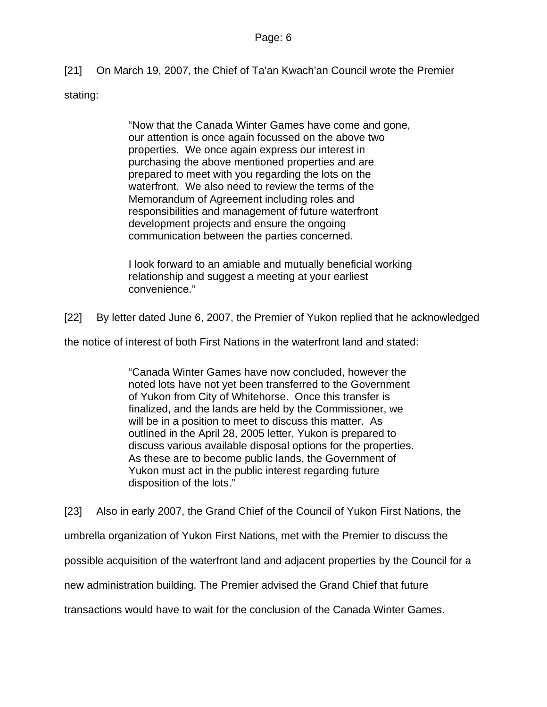[21] On March 19, 2007, the Chief of Ta'an Kwach'an Council wrote the Premier stating:

> "Now that the Canada Winter Games have come and gone, our attention is once again focussed on the above two properties. We once again express our interest in purchasing the above mentioned properties and are prepared to meet with you regarding the lots on the waterfront. We also need to review the terms of the Memorandum of Agreement including roles and responsibilities and management of future waterfront development projects and ensure the ongoing communication between the parties concerned.

I look forward to an amiable and mutually beneficial working relationship and suggest a meeting at your earliest convenience."

[22] By letter dated June 6, 2007, the Premier of Yukon replied that he acknowledged

the notice of interest of both First Nations in the waterfront land and stated:

"Canada Winter Games have now concluded, however the noted lots have not yet been transferred to the Government of Yukon from City of Whitehorse. Once this transfer is finalized, and the lands are held by the Commissioner, we will be in a position to meet to discuss this matter. As outlined in the April 28, 2005 letter, Yukon is prepared to discuss various available disposal options for the properties. As these are to become public lands, the Government of Yukon must act in the public interest regarding future disposition of the lots."

[23] Also in early 2007, the Grand Chief of the Council of Yukon First Nations, the

umbrella organization of Yukon First Nations, met with the Premier to discuss the

possible acquisition of the waterfront land and adjacent properties by the Council for a

new administration building. The Premier advised the Grand Chief that future

transactions would have to wait for the conclusion of the Canada Winter Games.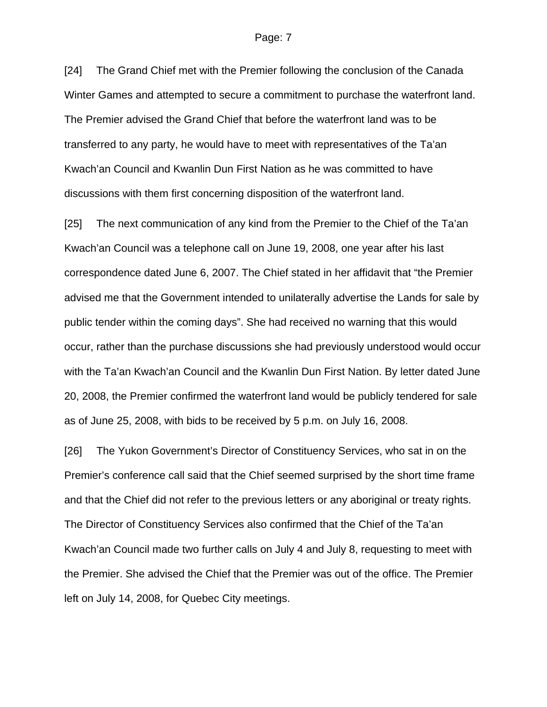[24] The Grand Chief met with the Premier following the conclusion of the Canada Winter Games and attempted to secure a commitment to purchase the waterfront land. The Premier advised the Grand Chief that before the waterfront land was to be transferred to any party, he would have to meet with representatives of the Ta'an Kwach'an Council and Kwanlin Dun First Nation as he was committed to have discussions with them first concerning disposition of the waterfront land.

[25] The next communication of any kind from the Premier to the Chief of the Ta'an Kwach'an Council was a telephone call on June 19, 2008, one year after his last correspondence dated June 6, 2007. The Chief stated in her affidavit that "the Premier advised me that the Government intended to unilaterally advertise the Lands for sale by public tender within the coming days". She had received no warning that this would occur, rather than the purchase discussions she had previously understood would occur with the Ta'an Kwach'an Council and the Kwanlin Dun First Nation. By letter dated June 20, 2008, the Premier confirmed the waterfront land would be publicly tendered for sale as of June 25, 2008, with bids to be received by 5 p.m. on July 16, 2008.

[26] The Yukon Government's Director of Constituency Services, who sat in on the Premier's conference call said that the Chief seemed surprised by the short time frame and that the Chief did not refer to the previous letters or any aboriginal or treaty rights. The Director of Constituency Services also confirmed that the Chief of the Ta'an Kwach'an Council made two further calls on July 4 and July 8, requesting to meet with the Premier. She advised the Chief that the Premier was out of the office. The Premier left on July 14, 2008, for Quebec City meetings.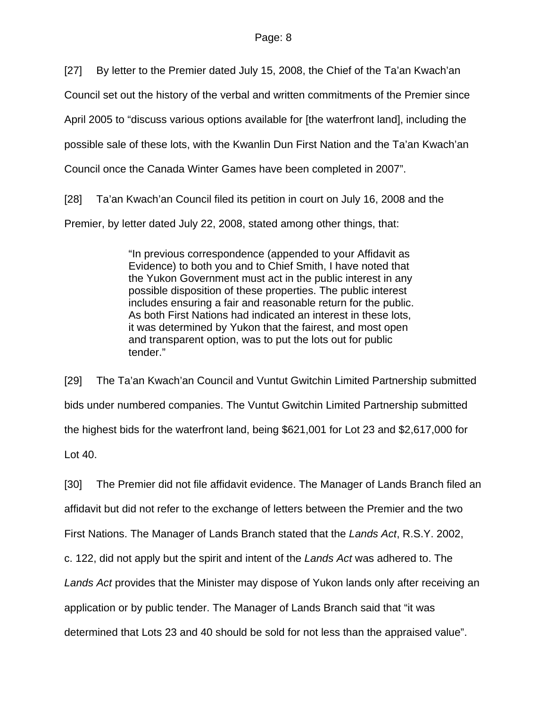[27] By letter to the Premier dated July 15, 2008, the Chief of the Ta'an Kwach'an

Council set out the history of the verbal and written commitments of the Premier since

April 2005 to "discuss various options available for [the waterfront land], including the

possible sale of these lots, with the Kwanlin Dun First Nation and the Ta'an Kwach'an

Council once the Canada Winter Games have been completed in 2007".

[28] Ta'an Kwach'an Council filed its petition in court on July 16, 2008 and the

Premier, by letter dated July 22, 2008, stated among other things, that:

"In previous correspondence (appended to your Affidavit as Evidence) to both you and to Chief Smith, I have noted that the Yukon Government must act in the public interest in any possible disposition of these properties. The public interest includes ensuring a fair and reasonable return for the public. As both First Nations had indicated an interest in these lots, it was determined by Yukon that the fairest, and most open and transparent option, was to put the lots out for public tender."

[29] The Ta'an Kwach'an Council and Vuntut Gwitchin Limited Partnership submitted bids under numbered companies. The Vuntut Gwitchin Limited Partnership submitted the highest bids for the waterfront land, being \$621,001 for Lot 23 and \$2,617,000 for Lot 40.

[30] The Premier did not file affidavit evidence. The Manager of Lands Branch filed an affidavit but did not refer to the exchange of letters between the Premier and the two First Nations. The Manager of Lands Branch stated that the *Lands Act*, R.S.Y. 2002, c. 122, did not apply but the spirit and intent of the *Lands Act* was adhered to. The *Lands Act* provides that the Minister may dispose of Yukon lands only after receiving an application or by public tender. The Manager of Lands Branch said that "it was determined that Lots 23 and 40 should be sold for not less than the appraised value".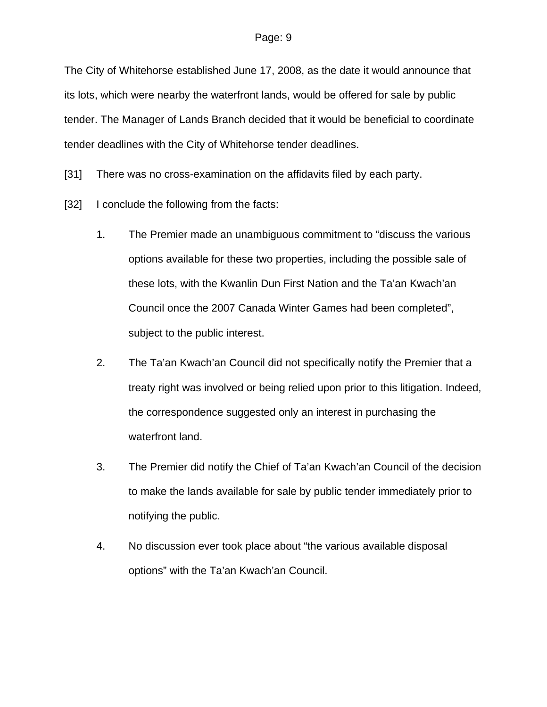The City of Whitehorse established June 17, 2008, as the date it would announce that its lots, which were nearby the waterfront lands, would be offered for sale by public tender. The Manager of Lands Branch decided that it would be beneficial to coordinate tender deadlines with the City of Whitehorse tender deadlines.

[31] There was no cross-examination on the affidavits filed by each party.

- [32] I conclude the following from the facts:
	- 1. The Premier made an unambiguous commitment to "discuss the various options available for these two properties, including the possible sale of these lots, with the Kwanlin Dun First Nation and the Ta'an Kwach'an Council once the 2007 Canada Winter Games had been completed", subject to the public interest.
	- 2. The Ta'an Kwach'an Council did not specifically notify the Premier that a treaty right was involved or being relied upon prior to this litigation. Indeed, the correspondence suggested only an interest in purchasing the waterfront land.
	- 3. The Premier did notify the Chief of Ta'an Kwach'an Council of the decision to make the lands available for sale by public tender immediately prior to notifying the public.
	- 4. No discussion ever took place about "the various available disposal options" with the Ta'an Kwach'an Council.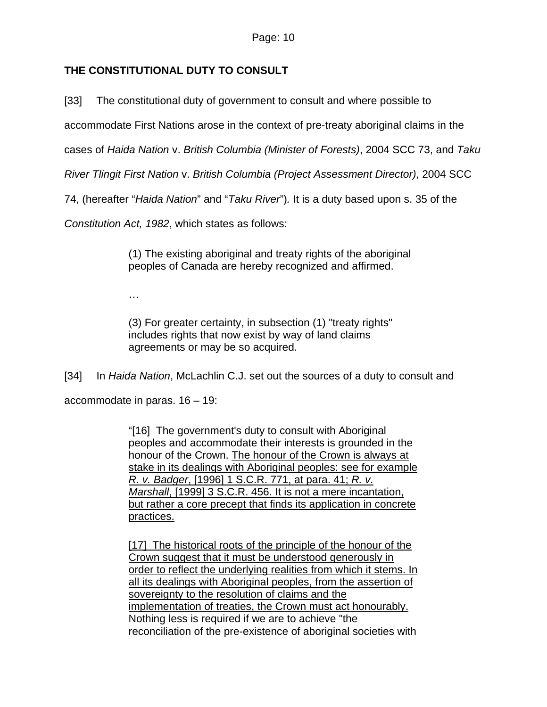# **THE CONSTITUTIONAL DUTY TO CONSULT**

[33] The constitutional duty of government to consult and where possible to

accommodate First Nations arose in the context of pre-treaty aboriginal claims in the

cases of *Haida Nation* v. *British Columbia (Minister of Forests)*, 2004 SCC 73, and *Taku* 

*River Tlingit First Nation* v. *British Columbia (Project Assessment Director)*, 2004 SCC

74, (hereafter "*Haida Nation*" and "*Taku River*")*.* It is a duty based upon s. 35 of the

*Constitution Act, 1982*, which states as follows:

(1) The existing aboriginal and treaty rights of the aboriginal peoples of Canada are hereby recognized and affirmed.

…

(3) For greater certainty, in subsection (1) "treaty rights" includes rights that now exist by way of land claims agreements or may be so acquired.

[34] In *Haida Nation*, McLachlin C.J. set out the sources of a duty to consult and

accommodate in paras. 16 – 19:

"[16] The government's duty to consult with Aboriginal peoples and accommodate their interests is grounded in the honour of the Crown. The honour of the Crown is always at stake in its dealings with Aboriginal peoples: see for example *R. v. Badger*, [\[1996\] 1 S.C.R. 771,](http://www.lexisnexis.com/ca/legal/search/runRemoteLink.do?service=citation&langcountry=CA&risb=21_T4455665247&A=0.8030896424373528&linkInfo=CA%23SCR%23year%251996%25page%25771%25vol%251%25sel2%251%25sel1%251996%25&bct=A) at para. 41; *R. v. Marshall*, [\[1999\] 3 S.C.R. 456](http://www.lexisnexis.com/ca/legal/search/runRemoteLink.do?service=citation&langcountry=CA&risb=21_T4455665247&A=0.40530514518031524&linkInfo=CA%23SCR%23year%251999%25page%25456%25vol%253%25sel2%253%25sel1%251999%25&bct=A). It is not a mere incantation, but rather a core precept that finds its application in concrete practices.

[17] The historical roots of the principle of the honour of the Crown suggest that it must be understood generously in order to reflect the underlying realities from which it stems. In all its dealings with Aboriginal peoples, from the assertion of sovereignty to the resolution of claims and the implementation of treaties, the Crown must act honourably. Nothing less is required if we are to achieve "the reconciliation of the pre-existence of aboriginal societies with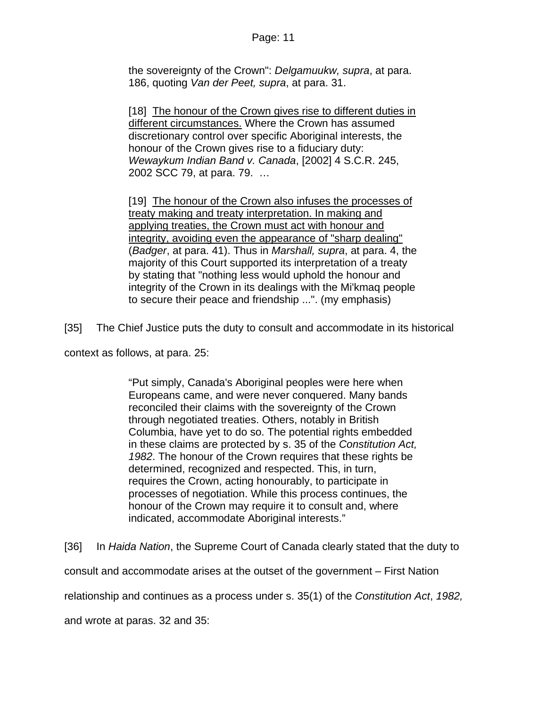the sovereignty of the Crown": *Delgamuukw, supra*, at para. 186, quoting *Van der Peet, supra*, at para. 31.

[18] The honour of the Crown gives rise to different duties in different circumstances. Where the Crown has assumed discretionary control over specific Aboriginal interests, the honour of the Crown gives rise to a fiduciary duty: *Wewaykum Indian Band v. Canada*, [\[2002\] 4 S.C.R. 245,](http://www.lexisnexis.com/ca/legal/search/runRemoteLink.do?service=citation&langcountry=CA&risb=21_T4455665247&A=0.8826765745101007&linkInfo=CA%23SCR%23year%252002%25page%25245%25vol%254%25sel2%254%25sel1%252002%25&bct=A) [2002 SCC 79](http://www.lexisnexis.com/ca/legal/search/runRemoteLink.do?service=citation&langcountry=CA&risb=21_T4455665247&A=0.407941164239341&linkInfo=CA%23SCC%23onum%2579%25year%252002%25decisiondate%252002%25sel1%252002%25&bct=A), at para. 79. …

[19] The honour of the Crown also infuses the processes of treaty making and treaty interpretation. In making and applying treaties, the Crown must act with honour and integrity, avoiding even the appearance of "sharp dealing" (*Badger*, at para. 41). Thus in *Marshall, supra*, at para. 4, the majority of this Court supported its interpretation of a treaty by stating that "nothing less would uphold the honour and integrity of the Crown in its dealings with the Mi'kmaq people to secure their peace and friendship ...". (my emphasis)

[35] The Chief Justice puts the duty to consult and accommodate in its historical

context as follows, at para. 25:

"Put simply, Canada's Aboriginal peoples were here when Europeans came, and were never conquered. Many bands reconciled their claims with the sovereignty of the Crown through negotiated treaties. Others, notably in British Columbia, have yet to do so. The potential rights embedded in these claims are protected by s. 35 of the *Constitution Act, 1982*. The honour of the Crown requires that these rights be determined, recognized and respected. This, in turn, requires the Crown, acting honourably, to participate in processes of negotiation. While this process continues, the honour of the Crown may require it to consult and, where indicated, accommodate Aboriginal interests."

[36] In *Haida Nation*, the Supreme Court of Canada clearly stated that the duty to consult and accommodate arises at the outset of the government – First Nation relationship and continues as a process under s. 35(1) of the *Constitution Act*, *1982,* 

and wrote at paras. 32 and 35: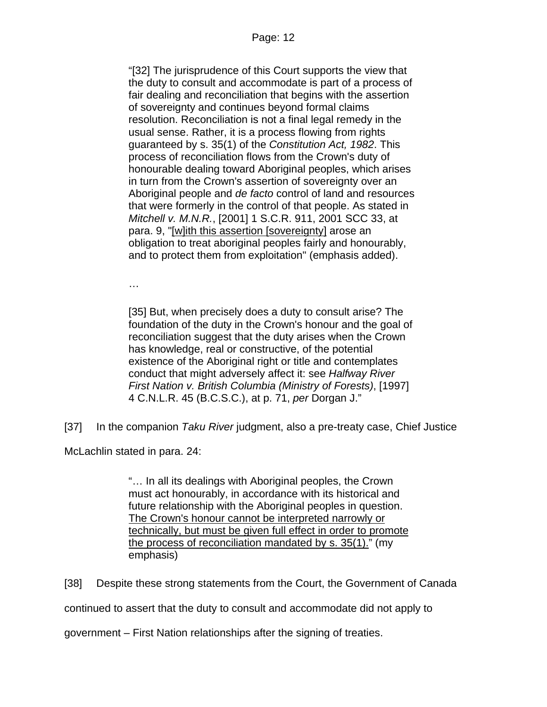"[32] The jurisprudence of this Court supports the view that the duty to consult and accommodate is part of a process of fair dealing and reconciliation that begins with the assertion of sovereignty and continues beyond formal claims resolution. Reconciliation is not a final legal remedy in the usual sense. Rather, it is a process flowing from rights guaranteed by s. 35(1) of the *Constitution Act, 1982*. This process of reconciliation flows from the Crown's duty of honourable dealing toward Aboriginal peoples, which arises in turn from the Crown's assertion of sovereignty over an Aboriginal people and *de facto* control of land and resources that were formerly in the control of that people. As stated in *Mitchell v. M.N.R.*, [\[2001\] 1 S.C.R. 911](http://www.lexisnexis.com/ca/legal/search/runRemoteLink.do?service=citation&langcountry=CA&risb=21_T4455665247&A=0.6668913325710718&linkInfo=CA%23SCR%23year%252001%25page%25911%25vol%251%25sel2%251%25sel1%252001%25&bct=A), [2001 SCC 33,](http://www.lexisnexis.com/ca/legal/search/runRemoteLink.do?service=citation&langcountry=CA&risb=21_T4455665247&A=0.8681776537213108&linkInfo=CA%23SCC%23onum%2533%25year%252001%25decisiondate%252001%25sel1%252001%25&bct=A) at para. 9, "[w]ith this assertion [sovereignty] arose an obligation to treat aboriginal peoples fairly and honourably, and to protect them from exploitation" (emphasis added).

…

[35] But, when precisely does a duty to consult arise? The foundation of the duty in the Crown's honour and the goal of reconciliation suggest that the duty arises when the Crown has knowledge, real or constructive, of the potential existence of the Aboriginal right or title and contemplates conduct that might adversely affect it: see *Halfway River First Nation v. British Columbia (Ministry of Forests)*, [\[1997\]](http://www.lexisnexis.com/ca/legal/search/runRemoteLink.do?service=citation&langcountry=CA&risb=21_T4455665247&A=0.8164846933636222&linkInfo=CA%23CNLR%23year%251997%25page%2545%25vol%254%25sel2%254%25sel1%251997%25&bct=A)  [4 C.N.L.R. 45](http://www.lexisnexis.com/ca/legal/search/runRemoteLink.do?service=citation&langcountry=CA&risb=21_T4455665247&A=0.8164846933636222&linkInfo=CA%23CNLR%23year%251997%25page%2545%25vol%254%25sel2%254%25sel1%251997%25&bct=A) (B.C.S.C.), at p. 71, *per* Dorgan J."

[37] In the companion *Taku River* judgment, also a pre-treaty case, Chief Justice

McLachlin stated in para. 24:

"… In all its dealings with Aboriginal peoples, the Crown must act honourably, in accordance with its historical and future relationship with the Aboriginal peoples in question. The Crown's honour cannot be interpreted narrowly or technically, but must be given full effect in order to promote the process of reconciliation mandated by s. 35(1)." (my emphasis)

[38] Despite these strong statements from the Court, the Government of Canada

continued to assert that the duty to consult and accommodate did not apply to

government – First Nation relationships after the signing of treaties.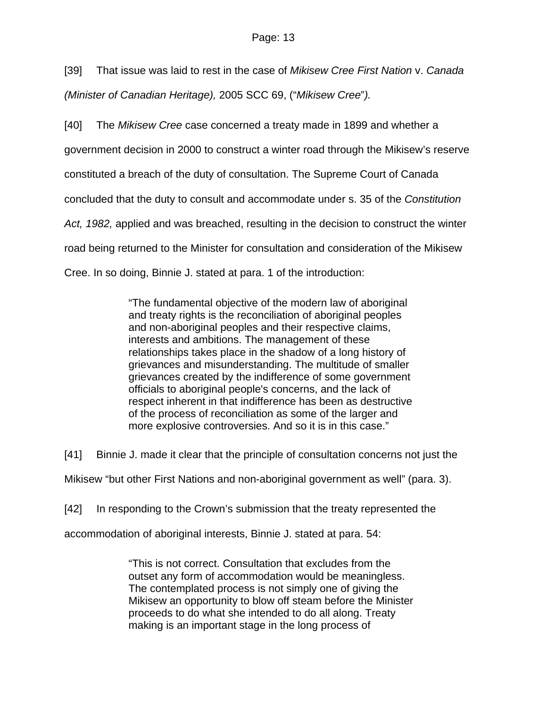[39] That issue was laid to rest in the case of *Mikisew Cree First Nation* v. *Canada (Minister of Canadian Heritage),* 2005 SCC 69, ("*Mikisew Cree*"*).*

[40] The *Mikisew Cree* case concerned a treaty made in 1899 and whether a government decision in 2000 to construct a winter road through the Mikisew's reserve constituted a breach of the duty of consultation. The Supreme Court of Canada concluded that the duty to consult and accommodate under s. 35 of the *Constitution Act, 1982,* applied and was breached, resulting in the decision to construct the winter road being returned to the Minister for consultation and consideration of the Mikisew Cree. In so doing, Binnie J. stated at para. 1 of the introduction:

> "The fundamental objective of the modern law of aboriginal and treaty rights is the reconciliation of aboriginal peoples and non-aboriginal peoples and their respective claims, interests and ambitions. The management of these relationships takes place in the shadow of a long history of grievances and misunderstanding. The multitude of smaller grievances created by the indifference of some government officials to aboriginal people's concerns, and the lack of respect inherent in that indifference has been as destructive of the process of reconciliation as some of the larger and more explosive controversies. And so it is in this case."

[41] Binnie J. made it clear that the principle of consultation concerns not just the Mikisew "but other First Nations and non-aboriginal government as well" (para. 3).

[42] In responding to the Crown's submission that the treaty represented the

accommodation of aboriginal interests, Binnie J. stated at para. 54:

"This is not correct. Consultation that excludes from the outset any form of accommodation would be meaningless. The contemplated process is not simply one of giving the Mikisew an opportunity to blow off steam before the Minister proceeds to do what she intended to do all along. Treaty making is an important stage in the long process of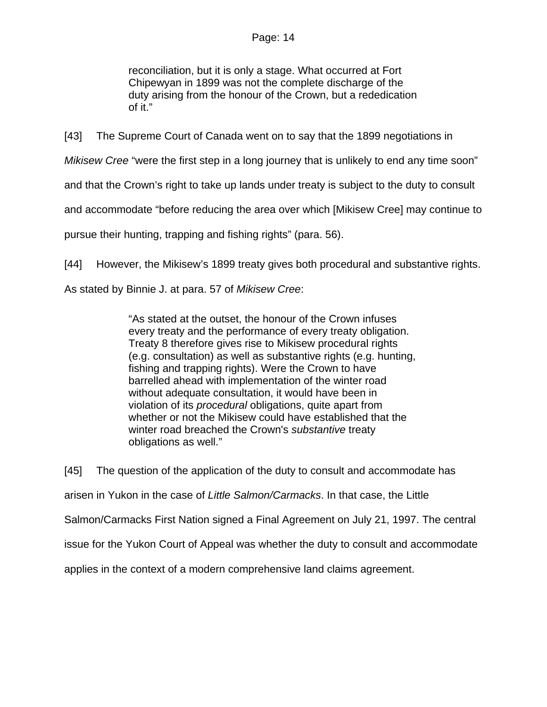reconciliation, but it is only a stage. What occurred at Fort Chipewyan in 1899 was not the complete discharge of the duty arising from the honour of the Crown, but a rededication of it."

[43] The Supreme Court of Canada went on to say that the 1899 negotiations in

*Mikisew Cree* "were the first step in a long journey that is unlikely to end any time soon"

and that the Crown's right to take up lands under treaty is subject to the duty to consult

and accommodate "before reducing the area over which [Mikisew Cree] may continue to

pursue their hunting, trapping and fishing rights" (para. 56).

[44] However, the Mikisew's 1899 treaty gives both procedural and substantive rights.

As stated by Binnie J. at para. 57 of *Mikisew Cree*:

"As stated at the outset, the honour of the Crown infuses every treaty and the performance of every treaty obligation. Treaty 8 therefore gives rise to Mikisew procedural rights (e.g. consultation) as well as substantive rights (e.g. hunting, fishing and trapping rights). Were the Crown to have barrelled ahead with implementation of the winter road without adequate consultation, it would have been in violation of its *procedural* obligations, quite apart from whether or not the Mikisew could have established that the winter road breached the Crown's *substantive* treaty obligations as well."

[45] The question of the application of the duty to consult and accommodate has arisen in Yukon in the case of *Little Salmon/Carmacks*. In that case, the Little Salmon/Carmacks First Nation signed a Final Agreement on July 21, 1997. The central issue for the Yukon Court of Appeal was whether the duty to consult and accommodate applies in the context of a modern comprehensive land claims agreement.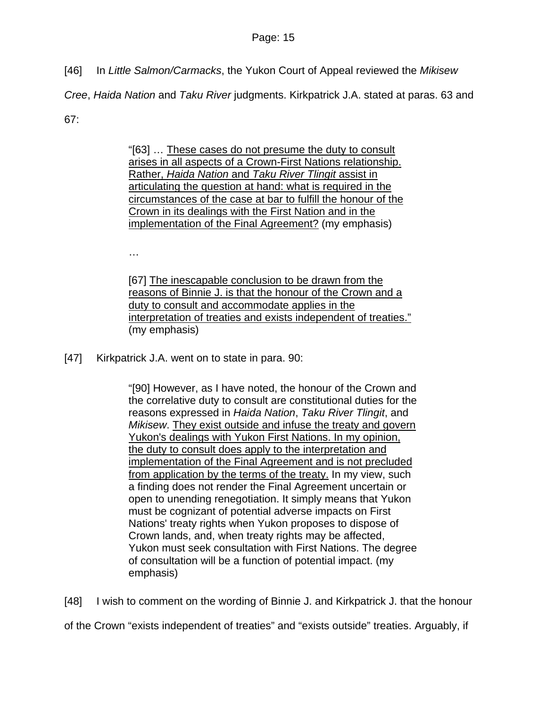[46] In *Little Salmon/Carmacks*, the Yukon Court of Appeal reviewed the *Mikisew* 

*Cree*, *Haida Nation* and *Taku River* judgments. Kirkpatrick J.A. stated at paras. 63 and

67:

"[63] … These cases do not presume the duty to consult arises in all aspects of a Crown-First Nations relationship. Rather, *Haida Nation* and *Taku River Tlingit* assist in articulating the question at hand: what is required in the circumstances of the case at bar to fulfill the honour of the Crown in its dealings with the First Nation and in the implementation of the Final Agreement? (my emphasis)

…

[67] The inescapable conclusion to be drawn from the reasons of Binnie J. is that the honour of the Crown and a duty to consult and accommodate applies in the interpretation of treaties and exists independent of treaties." (my emphasis)

[47] Kirkpatrick J.A. went on to state in para. 90:

"[90] However, as I have noted, the honour of the Crown and the correlative duty to consult are constitutional duties for the reasons expressed in *Haida Nation*, *Taku River Tlingit*, and *Mikisew*. They exist outside and infuse the treaty and govern Yukon's dealings with Yukon First Nations. In my opinion, the duty to consult does apply to the interpretation and implementation of the Final Agreement and is not precluded from application by the terms of the treaty. In my view, such a finding does not render the Final Agreement uncertain or open to unending renegotiation. It simply means that Yukon must be cognizant of potential adverse impacts on First Nations' treaty rights when Yukon proposes to dispose of Crown lands, and, when treaty rights may be affected, Yukon must seek consultation with First Nations. The degree of consultation will be a function of potential impact. (my emphasis)

[48] I wish to comment on the wording of Binnie J. and Kirkpatrick J. that the honour of the Crown "exists independent of treaties" and "exists outside" treaties. Arguably, if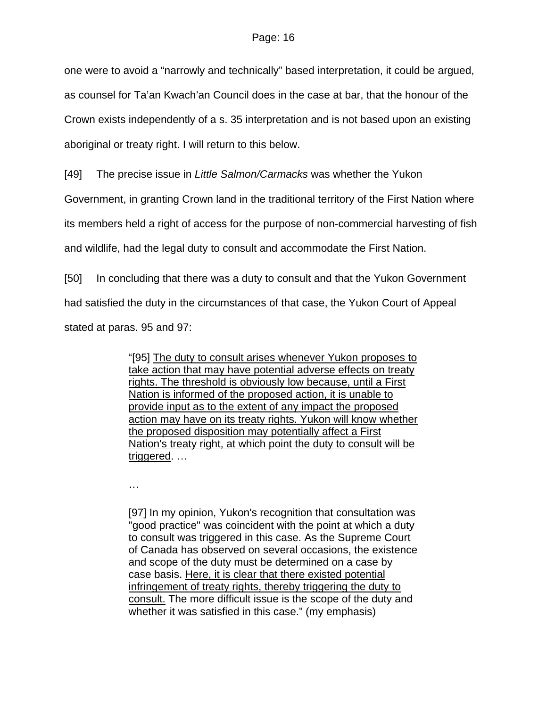one were to avoid a "narrowly and technically" based interpretation, it could be argued, as counsel for Ta'an Kwach'an Council does in the case at bar, that the honour of the Crown exists independently of a s. 35 interpretation and is not based upon an existing aboriginal or treaty right. I will return to this below.

[49] The precise issue in *Little Salmon/Carmacks* was whether the Yukon

Government, in granting Crown land in the traditional territory of the First Nation where

its members held a right of access for the purpose of non-commercial harvesting of fish

and wildlife, had the legal duty to consult and accommodate the First Nation.

[50] In concluding that there was a duty to consult and that the Yukon Government

had satisfied the duty in the circumstances of that case, the Yukon Court of Appeal

stated at paras. 95 and 97:

"[95] The duty to consult arises whenever Yukon proposes to take action that may have potential adverse effects on treaty rights. The threshold is obviously low because, until a First Nation is informed of the proposed action, it is unable to provide input as to the extent of any impact the proposed action may have on its treaty rights. Yukon will know whether the proposed disposition may potentially affect a First Nation's treaty right, at which point the duty to consult will be triggered. …

…

[97] In my opinion, Yukon's recognition that consultation was "good practice" was coincident with the point at which a duty to consult was triggered in this case. As the Supreme Court of Canada has observed on several occasions, the existence and scope of the duty must be determined on a case by case basis. Here, it is clear that there existed potential infringement of treaty rights, thereby triggering the duty to consult. The more difficult issue is the scope of the duty and whether it was satisfied in this case." (my emphasis)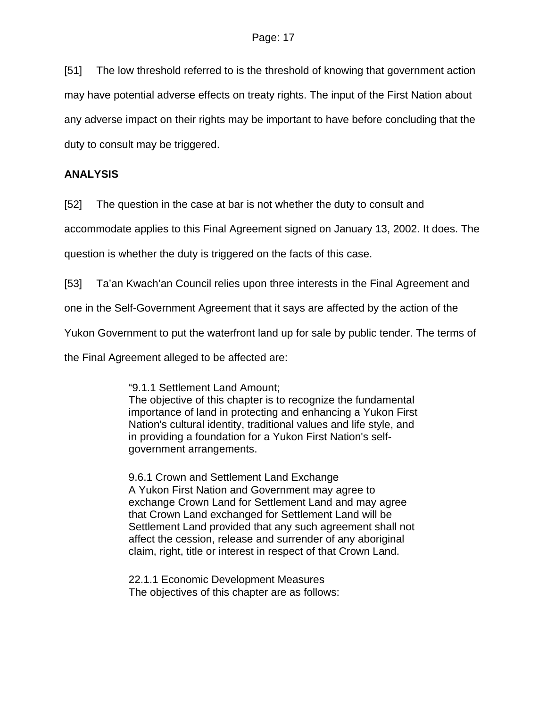[51] The low threshold referred to is the threshold of knowing that government action may have potential adverse effects on treaty rights. The input of the First Nation about any adverse impact on their rights may be important to have before concluding that the duty to consult may be triggered.

# **ANALYSIS**

[52] The question in the case at bar is not whether the duty to consult and

accommodate applies to this Final Agreement signed on January 13, 2002. It does. The

question is whether the duty is triggered on the facts of this case.

[53] Ta'an Kwach'an Council relies upon three interests in the Final Agreement and

one in the Self-Government Agreement that it says are affected by the action of the

Yukon Government to put the waterfront land up for sale by public tender. The terms of

the Final Agreement alleged to be affected are:

"9.1.1 Settlement Land Amount; The objective of this chapter is to recognize the fundamental importance of land in protecting and enhancing a Yukon First Nation's cultural identity, traditional values and life style, and in providing a foundation for a Yukon First Nation's selfgovernment arrangements.

9.6.1 Crown and Settlement Land Exchange A Yukon First Nation and Government may agree to exchange Crown Land for Settlement Land and may agree that Crown Land exchanged for Settlement Land will be Settlement Land provided that any such agreement shall not affect the cession, release and surrender of any aboriginal claim, right, title or interest in respect of that Crown Land.

22.1.1 Economic Development Measures The objectives of this chapter are as follows: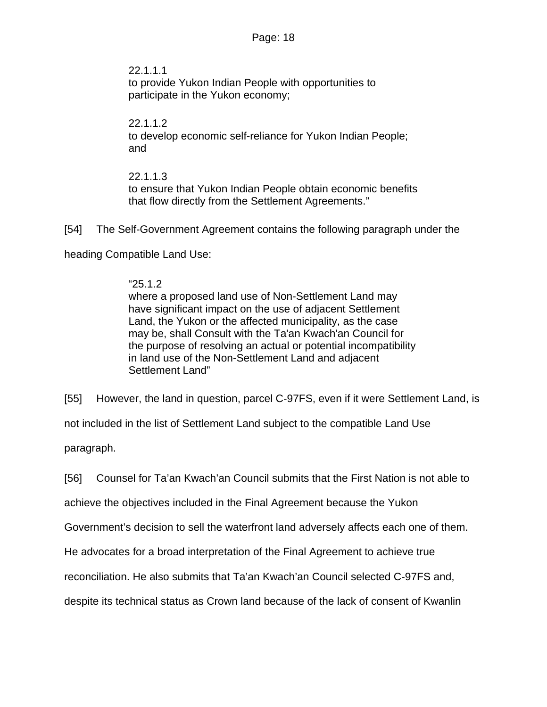22.1.1.1 to provide Yukon Indian People with opportunities to participate in the Yukon economy;

## 22.1.1.2 to develop economic self-reliance for Yukon Indian People; and

# 22.1.1.3 to ensure that Yukon Indian People obtain economic benefits that flow directly from the Settlement Agreements."

[54] The Self-Government Agreement contains the following paragraph under the

heading Compatible Land Use:

## "25.1.2

where a proposed land use of Non-Settlement Land may have significant impact on the use of adjacent Settlement Land, the Yukon or the affected municipality, as the case may be, shall Consult with the Ta'an Kwach'an Council for the purpose of resolving an actual or potential incompatibility in land use of the Non-Settlement Land and adjacent Settlement Land"

[55] However, the land in question, parcel C-97FS, even if it were Settlement Land, is

not included in the list of Settlement Land subject to the compatible Land Use

paragraph.

[56] Counsel for Ta'an Kwach'an Council submits that the First Nation is not able to

achieve the objectives included in the Final Agreement because the Yukon

Government's decision to sell the waterfront land adversely affects each one of them.

He advocates for a broad interpretation of the Final Agreement to achieve true

reconciliation. He also submits that Ta'an Kwach'an Council selected C-97FS and,

despite its technical status as Crown land because of the lack of consent of Kwanlin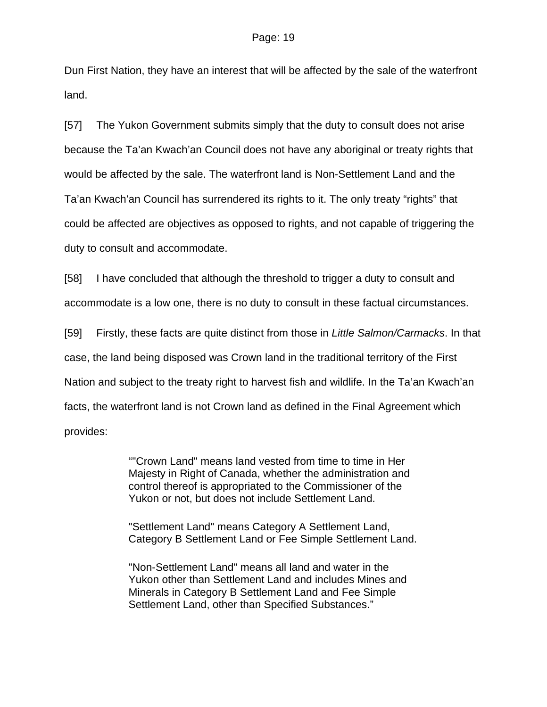Dun First Nation, they have an interest that will be affected by the sale of the waterfront land.

[57] The Yukon Government submits simply that the duty to consult does not arise because the Ta'an Kwach'an Council does not have any aboriginal or treaty rights that would be affected by the sale. The waterfront land is Non-Settlement Land and the Ta'an Kwach'an Council has surrendered its rights to it. The only treaty "rights" that could be affected are objectives as opposed to rights, and not capable of triggering the duty to consult and accommodate.

[58] I have concluded that although the threshold to trigger a duty to consult and accommodate is a low one, there is no duty to consult in these factual circumstances.

[59] Firstly, these facts are quite distinct from those in *Little Salmon/Carmacks*. In that case, the land being disposed was Crown land in the traditional territory of the First Nation and subject to the treaty right to harvest fish and wildlife. In the Ta'an Kwach'an facts, the waterfront land is not Crown land as defined in the Final Agreement which provides:

> ""Crown Land" means land vested from time to time in Her Majesty in Right of Canada, whether the administration and control thereof is appropriated to the Commissioner of the Yukon or not, but does not include Settlement Land.

"Settlement Land" means Category A Settlement Land, Category B Settlement Land or Fee Simple Settlement Land.

"Non-Settlement Land" means all land and water in the Yukon other than Settlement Land and includes Mines and Minerals in Category B Settlement Land and Fee Simple Settlement Land, other than Specified Substances."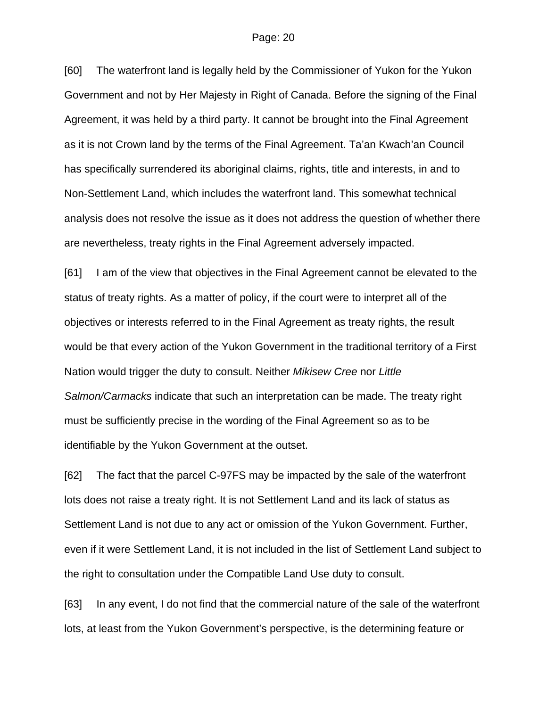[60] The waterfront land is legally held by the Commissioner of Yukon for the Yukon Government and not by Her Majesty in Right of Canada. Before the signing of the Final Agreement, it was held by a third party. It cannot be brought into the Final Agreement as it is not Crown land by the terms of the Final Agreement. Ta'an Kwach'an Council has specifically surrendered its aboriginal claims, rights, title and interests, in and to Non-Settlement Land, which includes the waterfront land. This somewhat technical analysis does not resolve the issue as it does not address the question of whether there are nevertheless, treaty rights in the Final Agreement adversely impacted.

[61] I am of the view that objectives in the Final Agreement cannot be elevated to the status of treaty rights. As a matter of policy, if the court were to interpret all of the objectives or interests referred to in the Final Agreement as treaty rights, the result would be that every action of the Yukon Government in the traditional territory of a First Nation would trigger the duty to consult. Neither *Mikisew Cree* nor *Little Salmon/Carmacks* indicate that such an interpretation can be made. The treaty right must be sufficiently precise in the wording of the Final Agreement so as to be identifiable by the Yukon Government at the outset.

[62] The fact that the parcel C-97FS may be impacted by the sale of the waterfront lots does not raise a treaty right. It is not Settlement Land and its lack of status as Settlement Land is not due to any act or omission of the Yukon Government. Further, even if it were Settlement Land, it is not included in the list of Settlement Land subject to the right to consultation under the Compatible Land Use duty to consult.

[63] In any event, I do not find that the commercial nature of the sale of the waterfront lots, at least from the Yukon Government's perspective, is the determining feature or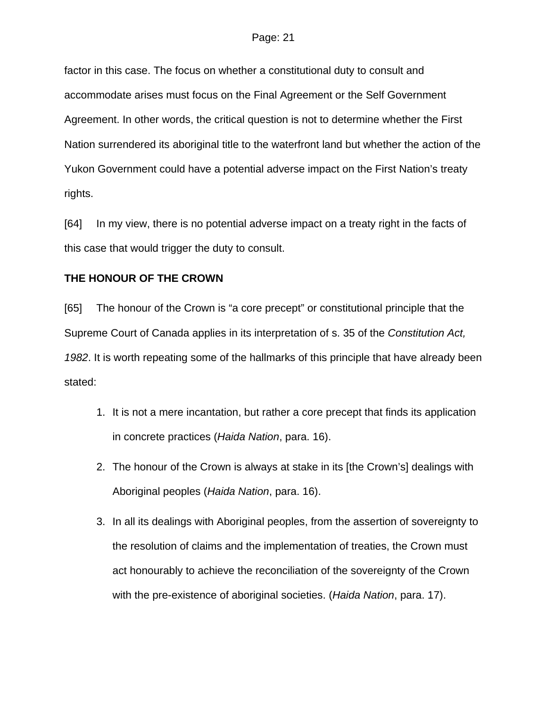factor in this case. The focus on whether a constitutional duty to consult and accommodate arises must focus on the Final Agreement or the Self Government Agreement. In other words, the critical question is not to determine whether the First Nation surrendered its aboriginal title to the waterfront land but whether the action of the Yukon Government could have a potential adverse impact on the First Nation's treaty rights.

[64] In my view, there is no potential adverse impact on a treaty right in the facts of this case that would trigger the duty to consult.

### **THE HONOUR OF THE CROWN**

[65] The honour of the Crown is "a core precept" or constitutional principle that the Supreme Court of Canada applies in its interpretation of s. 35 of the *Constitution Act, 1982*. It is worth repeating some of the hallmarks of this principle that have already been stated:

- 1. It is not a mere incantation, but rather a core precept that finds its application in concrete practices (*Haida Nation*, para. 16).
- 2. The honour of the Crown is always at stake in its [the Crown's] dealings with Aboriginal peoples (*Haida Nation*, para. 16).
- 3. In all its dealings with Aboriginal peoples, from the assertion of sovereignty to the resolution of claims and the implementation of treaties, the Crown must act honourably to achieve the reconciliation of the sovereignty of the Crown with the pre-existence of aboriginal societies. (*Haida Nation*, para. 17).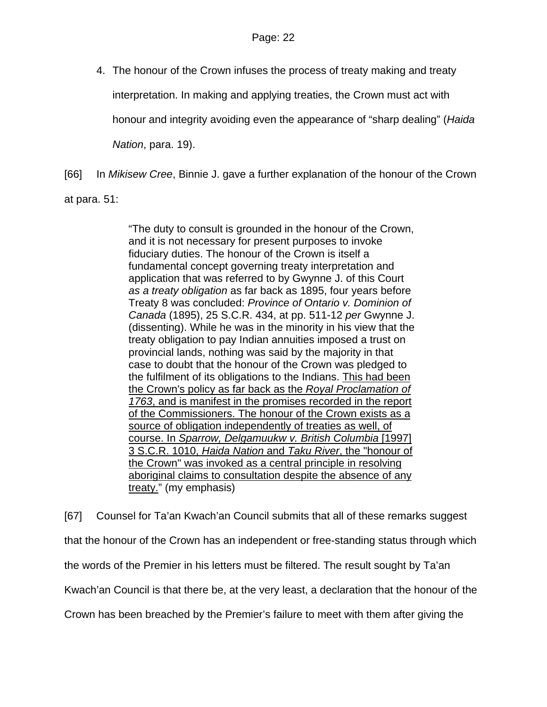4. The honour of the Crown infuses the process of treaty making and treaty interpretation. In making and applying treaties, the Crown must act with honour and integrity avoiding even the appearance of "sharp dealing" (*Haida Nation*, para. 19).

[66] In *Mikisew Cree*, Binnie J. gave a further explanation of the honour of the Crown at para. 51:

> "The duty to consult is grounded in the honour of the Crown, and it is not necessary for present purposes to invoke fiduciary duties. The honour of the Crown is itself a fundamental concept governing treaty interpretation and application that was referred to by Gwynne J. of this Court *as a treaty obligation* as far back as 1895, four years before Treaty 8 was concluded: *Province of Ontario v. Dominion of Canada* [\(1895\), 25 S.C.R. 434](http://www.lexisnexis.com/ca/legal/search/runRemoteLink.do?service=citation&langcountry=CA&risb=21_T4468456989&A=0.020528059933415554&linkInfo=CA%23SCR%23year%251895%25page%25434%25decisiondate%251895%25vol%2525%25sel2%2525%25sel1%251895%25&bct=A), at pp. 511-12 *per* Gwynne J. (dissenting). While he was in the minority in his view that the treaty obligation to pay Indian annuities imposed a trust on provincial lands, nothing was said by the majority in that case to doubt that the honour of the Crown was pledged to the fulfilment of its obligations to the Indians. This had been the Crown's policy as far back as the *Royal Proclamation of 1763*, and is manifest in the promises recorded in the report of the Commissioners. The honour of the Crown exists as a source of obligation independently of treaties as well, of course. In *Sparrow, Delgamuukw v. British Columbia* [\[1997\]](http://www.lexisnexis.com/ca/legal/search/runRemoteLink.do?service=citation&langcountry=CA&risb=21_T4468456989&A=0.20357619889858358&linkInfo=CA%23SCR%23year%251997%25page%251010%25vol%253%25sel2%253%25sel1%251997%25&bct=A)  [3 S.C.R. 1010](http://www.lexisnexis.com/ca/legal/search/runRemoteLink.do?service=citation&langcountry=CA&risb=21_T4468456989&A=0.20357619889858358&linkInfo=CA%23SCR%23year%251997%25page%251010%25vol%253%25sel2%253%25sel1%251997%25&bct=A), *Haida Nation* and *Taku River*, the "honour of the Crown" was invoked as a central principle in resolving aboriginal claims to consultation despite the absence of any treaty." (my emphasis)

[67] Counsel for Ta'an Kwach'an Council submits that all of these remarks suggest that the honour of the Crown has an independent or free-standing status through which the words of the Premier in his letters must be filtered. The result sought by Ta'an Kwach'an Council is that there be, at the very least, a declaration that the honour of the Crown has been breached by the Premier's failure to meet with them after giving the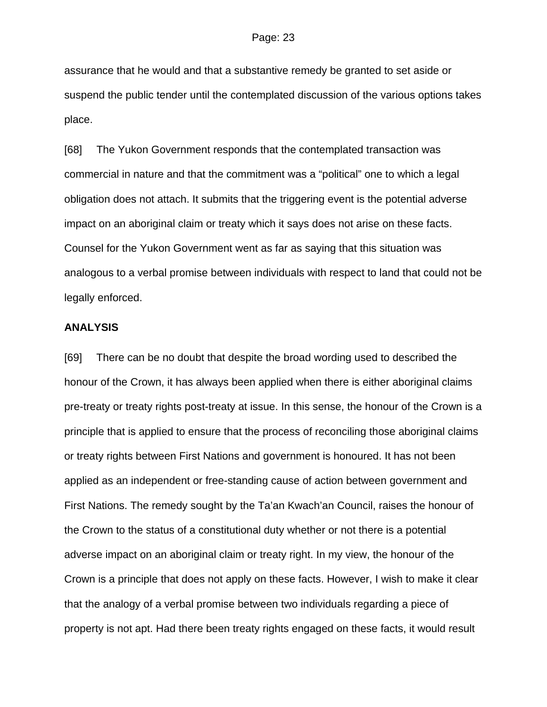assurance that he would and that a substantive remedy be granted to set aside or suspend the public tender until the contemplated discussion of the various options takes place.

[68] The Yukon Government responds that the contemplated transaction was commercial in nature and that the commitment was a "political" one to which a legal obligation does not attach. It submits that the triggering event is the potential adverse impact on an aboriginal claim or treaty which it says does not arise on these facts. Counsel for the Yukon Government went as far as saying that this situation was analogous to a verbal promise between individuals with respect to land that could not be legally enforced.

#### **ANALYSIS**

[69] There can be no doubt that despite the broad wording used to described the honour of the Crown, it has always been applied when there is either aboriginal claims pre-treaty or treaty rights post-treaty at issue. In this sense, the honour of the Crown is a principle that is applied to ensure that the process of reconciling those aboriginal claims or treaty rights between First Nations and government is honoured. It has not been applied as an independent or free-standing cause of action between government and First Nations. The remedy sought by the Ta'an Kwach'an Council, raises the honour of the Crown to the status of a constitutional duty whether or not there is a potential adverse impact on an aboriginal claim or treaty right. In my view, the honour of the Crown is a principle that does not apply on these facts. However, I wish to make it clear that the analogy of a verbal promise between two individuals regarding a piece of property is not apt. Had there been treaty rights engaged on these facts, it would result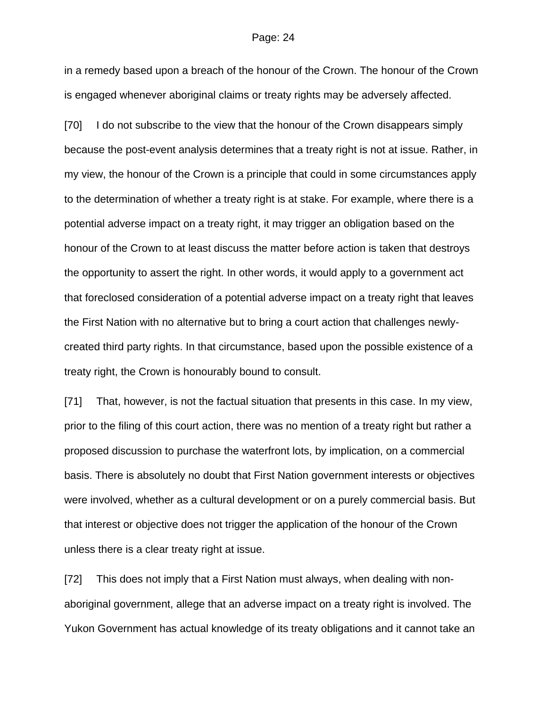in a remedy based upon a breach of the honour of the Crown. The honour of the Crown is engaged whenever aboriginal claims or treaty rights may be adversely affected.

[70] I do not subscribe to the view that the honour of the Crown disappears simply because the post-event analysis determines that a treaty right is not at issue. Rather, in my view, the honour of the Crown is a principle that could in some circumstances apply to the determination of whether a treaty right is at stake. For example, where there is a potential adverse impact on a treaty right, it may trigger an obligation based on the honour of the Crown to at least discuss the matter before action is taken that destroys the opportunity to assert the right. In other words, it would apply to a government act that foreclosed consideration of a potential adverse impact on a treaty right that leaves the First Nation with no alternative but to bring a court action that challenges newlycreated third party rights. In that circumstance, based upon the possible existence of a treaty right, the Crown is honourably bound to consult.

[71] That, however, is not the factual situation that presents in this case. In my view, prior to the filing of this court action, there was no mention of a treaty right but rather a proposed discussion to purchase the waterfront lots, by implication, on a commercial basis. There is absolutely no doubt that First Nation government interests or objectives were involved, whether as a cultural development or on a purely commercial basis. But that interest or objective does not trigger the application of the honour of the Crown unless there is a clear treaty right at issue.

[72] This does not imply that a First Nation must always, when dealing with nonaboriginal government, allege that an adverse impact on a treaty right is involved. The Yukon Government has actual knowledge of its treaty obligations and it cannot take an